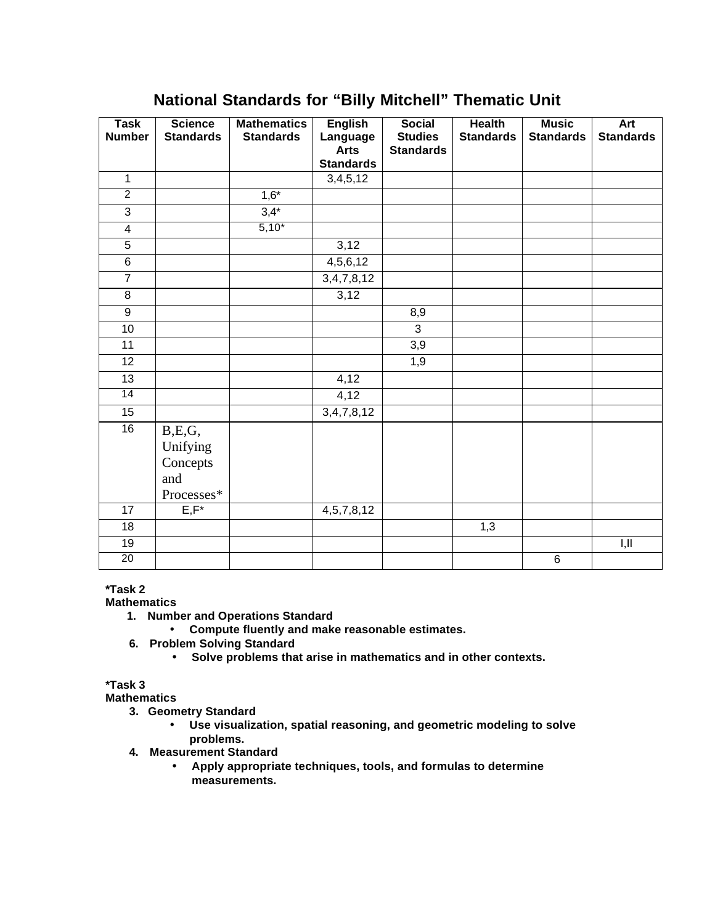# **National Standards for "Billy Mitchell" Thematic Unit**

| <b>Task</b>     | <b>Science</b>   | <b>Mathematics</b> | <b>English</b>          | <b>Social</b>                      | <b>Health</b>    | <b>Music</b>     | <b>Art</b>        |
|-----------------|------------------|--------------------|-------------------------|------------------------------------|------------------|------------------|-------------------|
| <b>Number</b>   | <b>Standards</b> | <b>Standards</b>   | Language<br><b>Arts</b> | <b>Studies</b><br><b>Standards</b> | <b>Standards</b> | <b>Standards</b> | <b>Standards</b>  |
|                 |                  |                    | <b>Standards</b>        |                                    |                  |                  |                   |
| $\mathbf{1}$    |                  |                    | 3,4,5,12                |                                    |                  |                  |                   |
| $\overline{2}$  |                  | $1,6*$             |                         |                                    |                  |                  |                   |
| $\overline{3}$  |                  | $3,4*$             |                         |                                    |                  |                  |                   |
| $\overline{4}$  |                  | $5,10*$            |                         |                                    |                  |                  |                   |
| $\overline{5}$  |                  |                    | 3,12                    |                                    |                  |                  |                   |
| $\overline{6}$  |                  |                    | $\overline{4,}5,6,12$   |                                    |                  |                  |                   |
| $\overline{7}$  |                  |                    | 3,4,7,8,12              |                                    |                  |                  |                   |
| 8               |                  |                    | 3,12                    |                                    |                  |                  |                   |
| 9               |                  |                    |                         | 8,9                                |                  |                  |                   |
| 10              |                  |                    |                         | $\overline{3}$                     |                  |                  |                   |
| 11              |                  |                    |                         | 3,9                                |                  |                  |                   |
| 12              |                  |                    |                         | 1,9                                |                  |                  |                   |
| $\overline{13}$ |                  |                    | 4,12                    |                                    |                  |                  |                   |
| 14              |                  |                    | 4,12                    |                                    |                  |                  |                   |
| 15              |                  |                    | 3,4,7,8,12              |                                    |                  |                  |                   |
| 16              | B, E, G,         |                    |                         |                                    |                  |                  |                   |
|                 | Unifying         |                    |                         |                                    |                  |                  |                   |
|                 | Concepts         |                    |                         |                                    |                  |                  |                   |
|                 | and              |                    |                         |                                    |                  |                  |                   |
|                 | Processes*       |                    |                         |                                    |                  |                  |                   |
| 17              | $E, F^*$         |                    | 4, 5, 7, 8, 12          |                                    |                  |                  |                   |
| 18              |                  |                    |                         |                                    | 1,3              |                  |                   |
| 19              |                  |                    |                         |                                    |                  |                  | $\overline{I,II}$ |
| 20              |                  |                    |                         |                                    |                  | $\,6\,$          |                   |

## **\*Task 2**

**Mathematics**

- **1. Number and Operations Standard**
	- **Compute fluently and make reasonable estimates.**
- **6. Problem Solving Standard**
	- **Solve problems that arise in mathematics and in other contexts.**

## **\*Task 3**

**Mathematics**

- **3. Geometry Standard**
	- **Use visualization, spatial reasoning, and geometric modeling to solve problems.**
- **4. Measurement Standard**
	- **Apply appropriate techniques, tools, and formulas to determine measurements.**